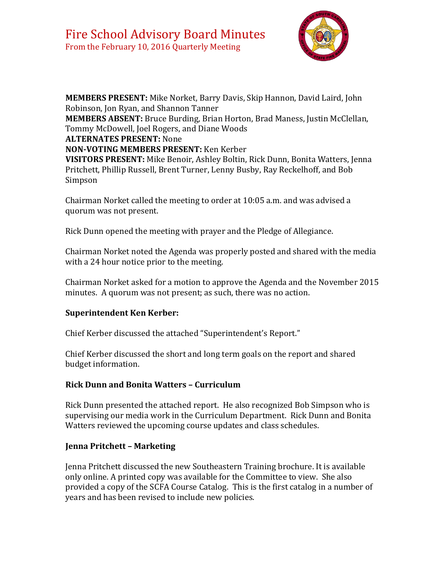

**MEMBERS PRESENT:** Mike Norket, Barry Davis, Skip Hannon, David Laird, John Robinson, Jon Ryan, and Shannon Tanner **MEMBERS ABSENT:** Bruce Burding, Brian Horton, Brad Maness, Justin McClellan, Tommy McDowell, Joel Rogers, and Diane Woods **ALTERNATES PRESENT:** None **NON-VOTING MEMBERS PRESENT:** Ken Kerber **VISITORS PRESENT:** Mike Benoir, Ashley Boltin, Rick Dunn, Bonita Watters, Jenna Pritchett, Phillip Russell, Brent Turner, Lenny Busby, Ray Reckelhoff, and Bob Simpson

Chairman Norket called the meeting to order at 10:05 a.m. and was advised a quorum was not present.

Rick Dunn opened the meeting with prayer and the Pledge of Allegiance.

Chairman Norket noted the Agenda was properly posted and shared with the media with a 24 hour notice prior to the meeting.

Chairman Norket asked for a motion to approve the Agenda and the November 2015 minutes. A quorum was not present; as such, there was no action.

# **Superintendent Ken Kerber:**

Chief Kerber discussed the attached "Superintendent's Report."

Chief Kerber discussed the short and long term goals on the report and shared budget information.

#### **Rick Dunn and Bonita Watters – Curriculum**

Rick Dunn presented the attached report. He also recognized Bob Simpson who is supervising our media work in the Curriculum Department. Rick Dunn and Bonita Watters reviewed the upcoming course updates and class schedules.

# **Jenna Pritchett – Marketing**

Jenna Pritchett discussed the new Southeastern Training brochure. It is available only online. A printed copy was available for the Committee to view. She also provided a copy of the SCFA Course Catalog. This is the first catalog in a number of years and has been revised to include new policies.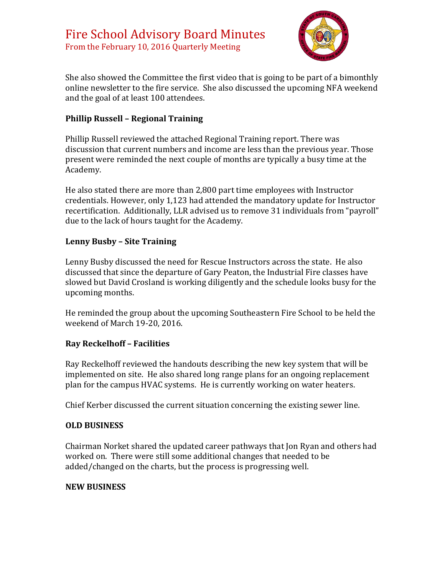

She also showed the Committee the first video that is going to be part of a bimonthly online newsletter to the fire service. She also discussed the upcoming NFA weekend and the goal of at least 100 attendees.

## **Phillip Russell – Regional Training**

Phillip Russell reviewed the attached Regional Training report. There was discussion that current numbers and income are less than the previous year. Those present were reminded the next couple of months are typically a busy time at the Academy.

He also stated there are more than 2,800 part time employees with Instructor credentials. However, only 1,123 had attended the mandatory update for Instructor recertification. Additionally, LLR advised us to remove 31 individuals from "payroll" due to the lack of hours taught for the Academy.

#### **Lenny Busby – Site Training**

Lenny Busby discussed the need for Rescue Instructors across the state. He also discussed that since the departure of Gary Peaton, the Industrial Fire classes have slowed but David Crosland is working diligently and the schedule looks busy for the upcoming months.

He reminded the group about the upcoming Southeastern Fire School to be held the weekend of March 19-20, 2016.

#### **Ray Reckelhoff – Facilities**

Ray Reckelhoff reviewed the handouts describing the new key system that will be implemented on site. He also shared long range plans for an ongoing replacement plan for the campus HVAC systems. He is currently working on water heaters.

Chief Kerber discussed the current situation concerning the existing sewer line.

#### **OLD BUSINESS**

Chairman Norket shared the updated career pathways that Jon Ryan and others had worked on. There were still some additional changes that needed to be added/changed on the charts, but the process is progressing well.

#### **NEW BUSINESS**